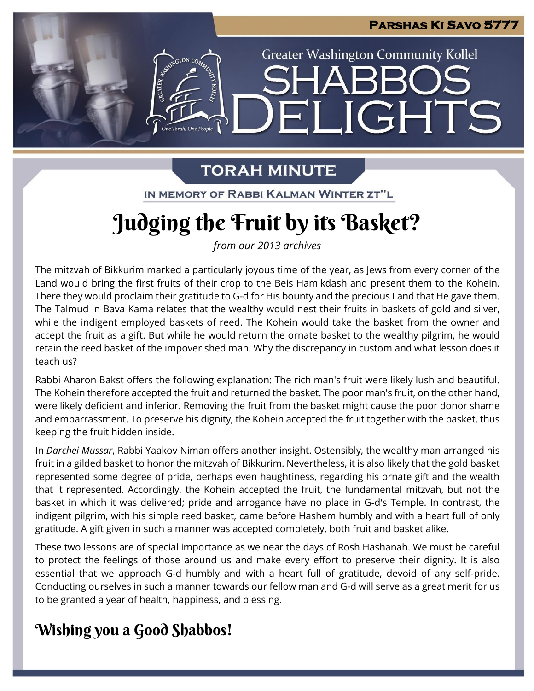

# **TORAH MINUTE**

IN MEMORY OF RABBI KALMAN WINTER ZT"L

# **Judging the Fruit by its Basket?**

*from our 2013 archives*

The mitzvah of Bikkurim marked a particularly joyous time of the year, as Jews from every corner of the Land would bring the first fruits of their crop to the Beis Hamikdash and present them to the Kohein. There they would proclaim their gratitude to G-d for His bounty and the precious Land that He gave them. The Talmud in Bava Kama relates that the wealthy would nest their fruits in baskets of gold and silver, while the indigent employed baskets of reed. The Kohein would take the basket from the owner and accept the fruit as a gift. But while he would return the ornate basket to the wealthy pilgrim, he would retain the reed basket of the impoverished man. Why the discrepancy in custom and what lesson does it teach us?

Rabbi Aharon Bakst offers the following explanation: The rich man's fruit were likely lush and beautiful. The Kohein therefore accepted the fruit and returned the basket. The poor man's fruit, on the other hand, were likely deficient and inferior. Removing the fruit from the basket might cause the poor donor shame and embarrassment. To preserve his dignity, the Kohein accepted the fruit together with the basket, thus keeping the fruit hidden inside.

In *Darchei Mussar*, Rabbi Yaakov Niman offers another insight. Ostensibly, the wealthy man arranged his fruit in a gilded basket to honor the mitzvah of Bikkurim. Nevertheless, it is also likely that the gold basket represented some degree of pride, perhaps even haughtiness, regarding his ornate gift and the wealth that it represented. Accordingly, the Kohein accepted the fruit, the fundamental mitzvah, but not the basket in which it was delivered; pride and arrogance have no place in G-d's Temple. In contrast, the indigent pilgrim, with his simple reed basket, came before Hashem humbly and with a heart full of only gratitude. A gift given in such a manner was accepted completely, both fruit and basket alike.

These two lessons are of special importance as we near the days of Rosh Hashanah. We must be careful to protect the feelings of those around us and make every effort to preserve their dignity. It is also essential that we approach G-d humbly and with a heart full of gratitude, devoid of any self-pride. Conducting ourselves in such a manner towards our fellow man and G-d will serve as a great merit for us to be granted a year of health, happiness, and blessing.

### **Wishing you a Good Shabbos!**